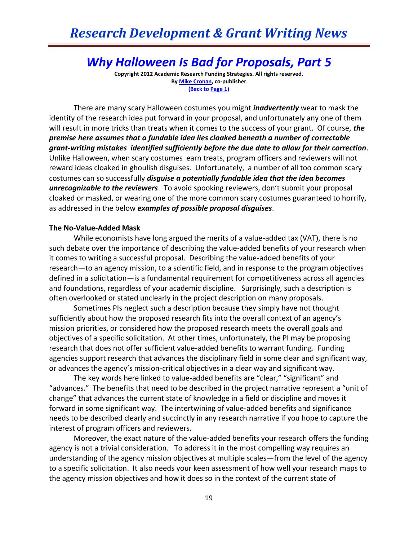# *Why Halloween Is Bad for Proposals, Part 5*

**Copyright 2012 Academic Research Funding Strategies. All rights reserved. B[y Mike Cronan,](mailto:mjcronan@gmail.com) co-publisher (Back to Page 1)**

There are many scary Halloween costumes you might *inadvertently* wear to mask the identity of the research idea put forward in your proposal, and unfortunately any one of them will result in more tricks than treats when it comes to the success of your grant. Of course, *the premise here assumes that a fundable idea lies cloaked beneath a number of correctable grant-writing mistakes identified sufficiently before the due date to allow for their correction*. Unlike Halloween, when scary costumes earn treats, program officers and reviewers will not reward ideas cloaked in ghoulish disguises. Unfortunately, a number of all too common scary costumes can so successfully *disguise a potentially fundable idea that the idea becomes unrecognizable to the reviewers*. To avoid spooking reviewers, don't submit your proposal cloaked or masked, or wearing one of the more common scary costumes guaranteed to horrify, as addressed in the below *examples of possible proposal disguises*.

### **The No-Value-Added Mask**

While economists have long argued the merits of a value-added tax (VAT), there is no such debate over the importance of describing the value-added benefits of your research when it comes to writing a successful proposal. Describing the value-added benefits of your research—to an agency mission, to a scientific field, and in response to the program objectives defined in a solicitation—is a fundamental requirement for competitiveness across all agencies and foundations, regardless of your academic discipline. Surprisingly, such a description is often overlooked or stated unclearly in the project description on many proposals.

Sometimes PIs neglect such a description because they simply have not thought sufficiently about how the proposed research fits into the overall context of an agency's mission priorities, or considered how the proposed research meets the overall goals and objectives of a specific solicitation. At other times, unfortunately, the PI may be proposing research that does not offer sufficient value-added benefits to warrant funding. Funding agencies support research that advances the disciplinary field in some clear and significant way, or advances the agency's mission-critical objectives in a clear way and significant way.

The key words here linked to value-added benefits are "clear," "significant" and "advances." The benefits that need to be described in the project narrative represent a "unit of change" that advances the current state of knowledge in a field or discipline and moves it forward in some significant way. The intertwining of value-added benefits and significance needs to be described clearly and succinctly in any research narrative if you hope to capture the interest of program officers and reviewers.

Moreover, the exact nature of the value-added benefits your research offers the funding agency is not a trivial consideration. To address it in the most compelling way requires an understanding of the agency mission objectives at multiple scales—from the level of the agency to a specific solicitation. It also needs your keen assessment of how well your research maps to the agency mission objectives and how it does so in the context of the current state of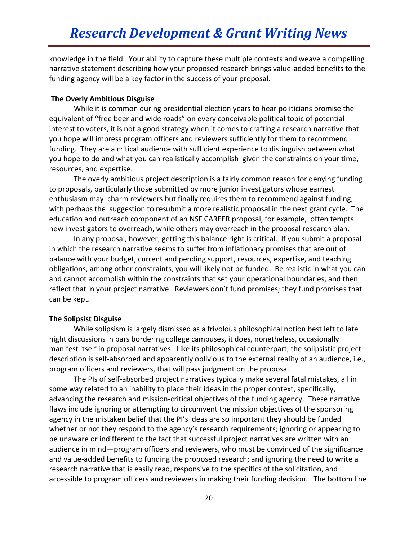knowledge in the field. Your ability to capture these multiple contexts and weave a compelling narrative statement describing how your proposed research brings value-added benefits to the funding agency will be a key factor in the success of your proposal.

## **The Overly Ambitious Disguise**

While it is common during presidential election years to hear politicians promise the equivalent of "free beer and wide roads" on every conceivable political topic of potential interest to voters, it is not a good strategy when it comes to crafting a research narrative that you hope will impress program officers and reviewers sufficiently for them to recommend funding. They are a critical audience with sufficient experience to distinguish between what you hope to do and what you can realistically accomplish given the constraints on your time, resources, and expertise.

The overly ambitious project description is a fairly common reason for denying funding to proposals, particularly those submitted by more junior investigators whose earnest enthusiasm may charm reviewers but finally requires them to recommend against funding, with perhaps the suggestion to resubmit a more realistic proposal in the next grant cycle. The education and outreach component of an NSF CAREER proposal, for example, often tempts new investigators to overreach, while others may overreach in the proposal research plan.

In any proposal, however, getting this balance right is critical. If you submit a proposal in which the research narrative seems to suffer from inflationary promises that are out of balance with your budget, current and pending support, resources, expertise, and teaching obligations, among other constraints, you will likely not be funded. Be realistic in what you can and cannot accomplish within the constraints that set your operational boundaries, and then reflect that in your project narrative. Reviewers don't fund promises; they fund promises that can be kept.

### **The Solipsist Disguise**

While solipsism is largely dismissed as a frivolous philosophical notion best left to late night discussions in bars bordering college campuses, it does, nonetheless, occasionally manifest itself in proposal narratives. Like its philosophical counterpart, the solipsistic project description is self-absorbed and apparently oblivious to the external reality of an audience, i.e., program officers and reviewers, that will pass judgment on the proposal.

The PIs of self-absorbed project narratives typically make several fatal mistakes, all in some way related to an inability to place their ideas in the proper context, specifically, advancing the research and mission-critical objectives of the funding agency. These narrative flaws include ignoring or attempting to circumvent the mission objectives of the sponsoring agency in the mistaken belief that the PI's ideas are so important they should be funded whether or not they respond to the agency's research requirements; ignoring or appearing to be unaware or indifferent to the fact that successful project narratives are written with an audience in mind—program officers and reviewers, who must be convinced of the significance and value-added benefits to funding the proposed research; and ignoring the need to write a research narrative that is easily read, responsive to the specifics of the solicitation, and accessible to program officers and reviewers in making their funding decision. The bottom line